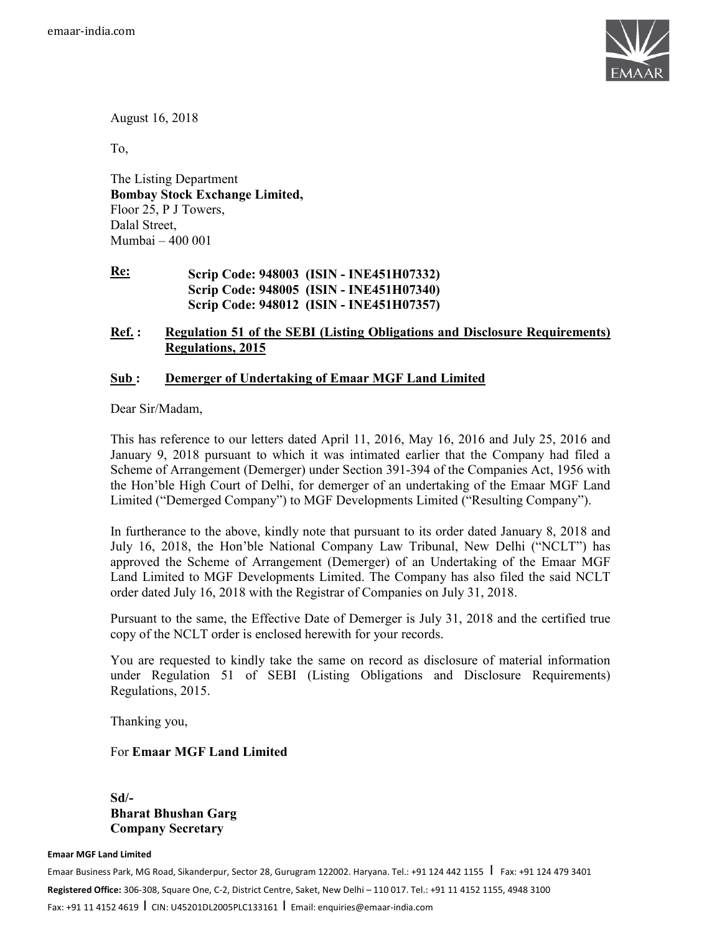

August 16, 2018

To,

The Listing Department **Bombay Stock Exchange Limited,**  Floor 25, P J Towers, Dalal Street, Mumbai – 400 001

**Re: Scrip Code: 948003 (ISIN - INE451H07332) Scrip Code: 948005 (ISIN - INE451H07340) Scrip Code: 948012 (ISIN - INE451H07357)** 

#### **Ref. : Regulation 51 of the SEBI (Listing Obligations and Disclosure Requirements) Regulations, 2015**

#### **Sub : Demerger of Undertaking of Emaar MGF Land Limited**

Dear Sir/Madam,

This has reference to our letters dated April 11, 2016, May 16, 2016 and July 25, 2016 and January 9, 2018 pursuant to which it was intimated earlier that the Company had filed a Scheme of Arrangement (Demerger) under Section 391-394 of the Companies Act, 1956 with the Hon'ble High Court of Delhi, for demerger of an undertaking of the Emaar MGF Land Limited ("Demerged Company") to MGF Developments Limited ("Resulting Company").

In furtherance to the above, kindly note that pursuant to its order dated January 8, 2018 and July 16, 2018, the Hon'ble National Company Law Tribunal, New Delhi ("NCLT") has approved the Scheme of Arrangement (Demerger) of an Undertaking of the Emaar MGF Land Limited to MGF Developments Limited. The Company has also filed the said NCLT order dated July 16, 2018 with the Registrar of Companies on July 31, 2018.

Pursuant to the same, the Effective Date of Demerger is July 31, 2018 and the certified true copy of the NCLT order is enclosed herewith for your records.

You are requested to kindly take the same on record as disclosure of material information under Regulation 51 of SEBI (Listing Obligations and Disclosure Requirements) Regulations, 2015.

Thanking you,

#### For **Emaar MGF Land Limited**

**Sd/- Bharat Bhushan Garg Company Secretary** 

#### **Emaar MGF Land Limited**

Emaar Business Park, MG Road, Sikanderpur, Sector 28, Gurugram 122002. Haryana. Tel.: +91 124 442 1155 | Fax: +91 124 479 3401 **Registered Office:** 306-308, Square One, C-2, District Centre, Saket, New Delhi – 110 017. Tel.: +91 11 4152 1155, 4948 3100 Fax: +91 11 4152 4619 I CIN: U45201DL2005PLC133161 I Email: enquiries@emaar-india.com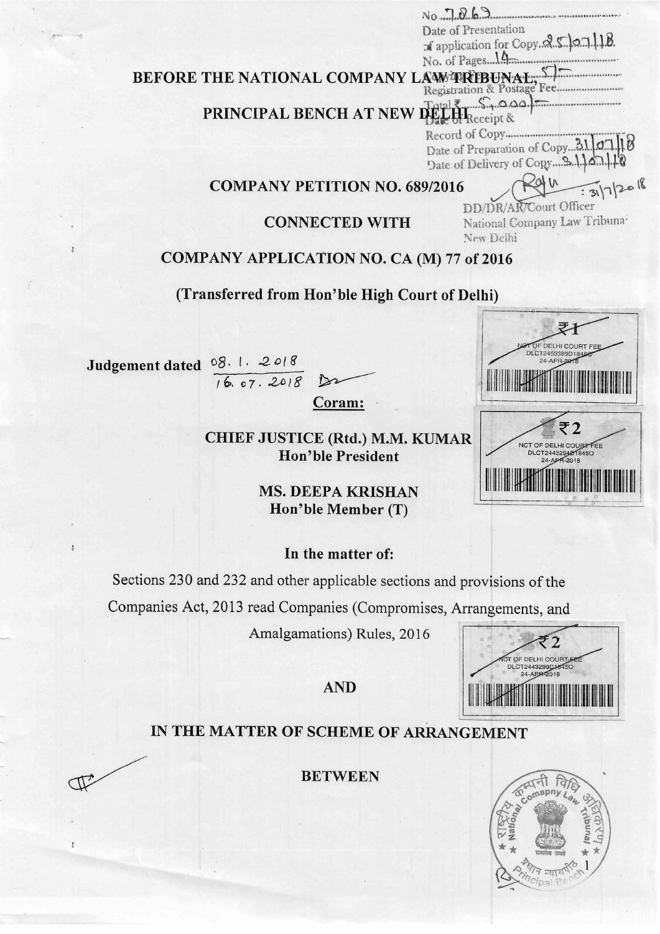Date of Presentation of application for Copy. 2.5.07.118. No. of Pages 14

# BEFORE THE NATIONAL COMPANY LAWTRIBUNAL

# PRINCIPAL BENCH AT NEW DELLA Receipt &

Record of Copy........................ Date of Preparation of Copy....21. 07. 

#### **COMPANY PETITION NO. 689/2016**

 $:3172018$ DD/DR/AR/Court Officer

OF DELHI COURT FEE DLCT2453389D1846

₹2

NCT OF DELHI COURT FEE<br>DLCT2443294018450

24-APR-2018

24-APR-20

# **CONNECTED WITH**

# National Company Law Tribuna-New Delhi

# **COMPANY APPLICATION NO. CA (M) 77 of 2016**

# (Transferred from Hon'ble High Court of Delhi)

08.1.2018 Judgement dated  $16.07.2018$ 

Coram:

 $\sum$ 

**CHIEF JUSTICE (Rtd.) M.M. KUMAR Hon'ble President** 

> **MS. DEEPA KRISHAN** Hon'ble Member (T)

#### In the matter of:

Sections 230 and 232 and other applicable sections and provisions of the

Companies Act, 2013 read Companies (Compromises, Arrangements, and

Amalgamations) Rules, 2016

OF DELHI COURT DLCT2443299D1645C<br>24-APR-2018

# **AND**

# IN THE MATTER OF SCHEME OF ARRANGEMENT

**BETWEEN** 

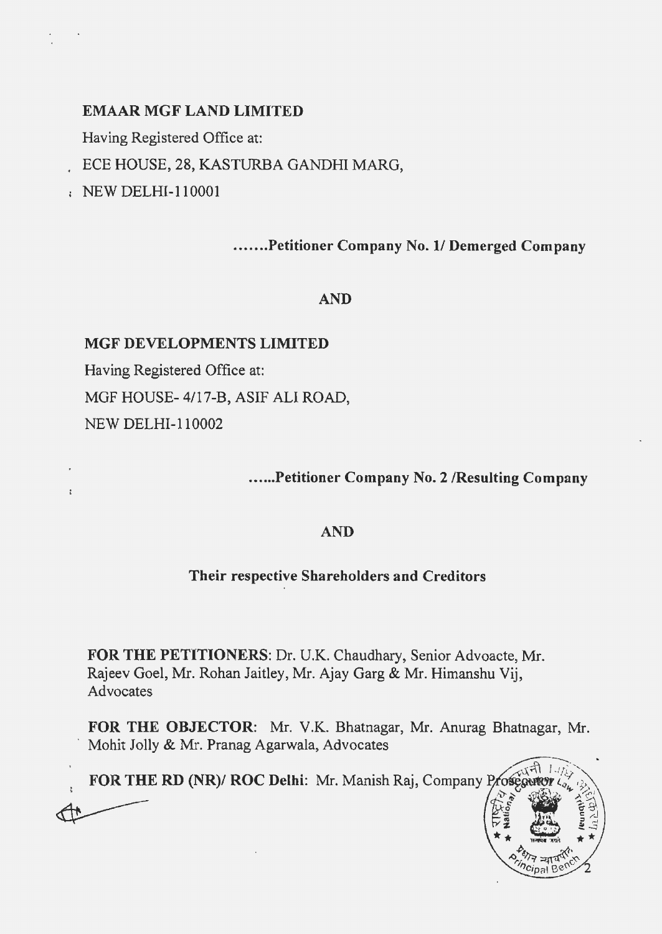# EMAAR MGF LAND LIMITED

Having Registered Office at:

. ECE HOUSE, 28, KASTURBA GANDHI MARG,

NEW DELHI-110001

.......Petitioner Company No. 1/ Demerged Company

# AND

# MGF DEVELOPMENTS LIMITED

Having Registered Office at: MGF HOUSE- 4/17-B, ASIF ALI ROAD, NEW DELHI-110002

...... Petitioner Company No.2 /Resulting Company

### AND

### Their respective Shareholders and Creditors

FOR THE PETITIONERS: Dr. U.K. Chaudhary, Senior Advoacte, Mr. Rajeev Goel, Mr. Rohan Jaitley, Mr. A jay Garg & Mr. Himanshu Vij, Advocates

FOR THE OBJECTOR: Mr. V.K. Bhatnagar, Mr. Anurag Bhatnagar, Mr. Mohit Jolly & Mr. Pranag Agarwala, Advocates

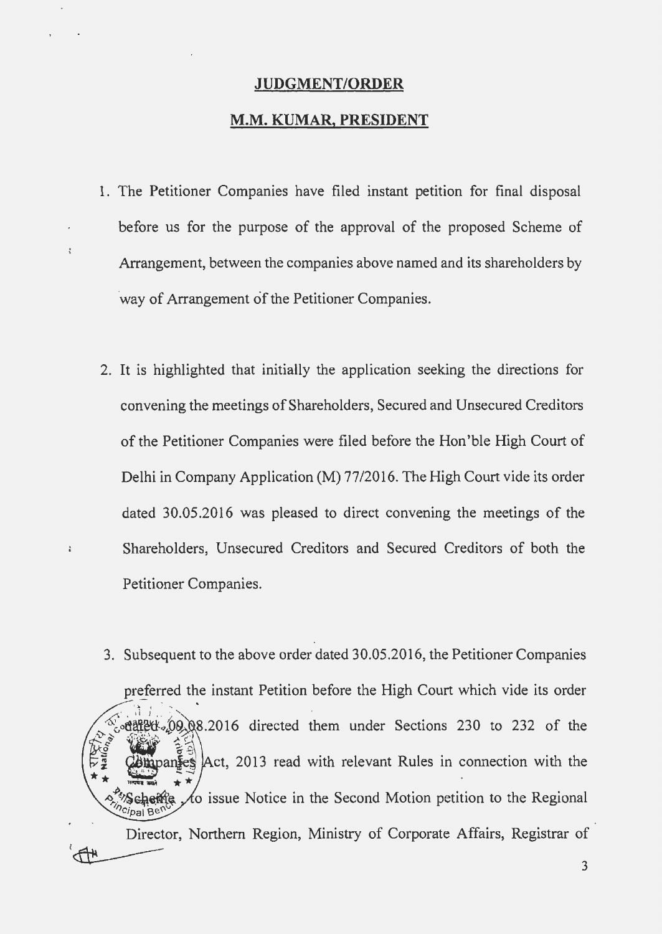#### **JUDGMENT/ORDER**

### **M.M. KUMAR, PRESIDENT**

1. The Petitioner Companies have filed instant petition for final disposal before us for the purpose of the approval of the proposed Scheme of Arrangement, between the companies above named and its shareholders by 'way of Arrangement of the Petitioner Companies.

 $\ddot{\varepsilon}$ 

 $\mathbf{r}$ 

- 2. It is highlighted that initially the application seeking the directions for convening the meetings of Shareholders, Secured and Unsecured Creditors of the Petitioner Companies were filed before the Hon 'ble High Court of Delhi in Company Application (M) 77/2016. The High Court vide its order dated 30.05.2016 was pleased to direct convening the meetings of the Shareholders, Unsecured Creditors and Secured Creditors of both the Petitioner Companies.
- 3. Subsequent to the above order dated 30.05.2016, the Petitioner Companies preferred the instant Petition before the High Court which vide its order  $\frac{1}{2}$  odared  $(09)$  08.2016 directed them under Sections 230 to 232 of the Act, 2013 read with relevant Rules in connection with the  $\mathsf{nans}$ A Scheme to issue N<br>Director, Northern  $\chi$  issue Notice in the Second Motion petition to the Regional Director, Northern Region, Ministry of Corporate Affairs, Registrar of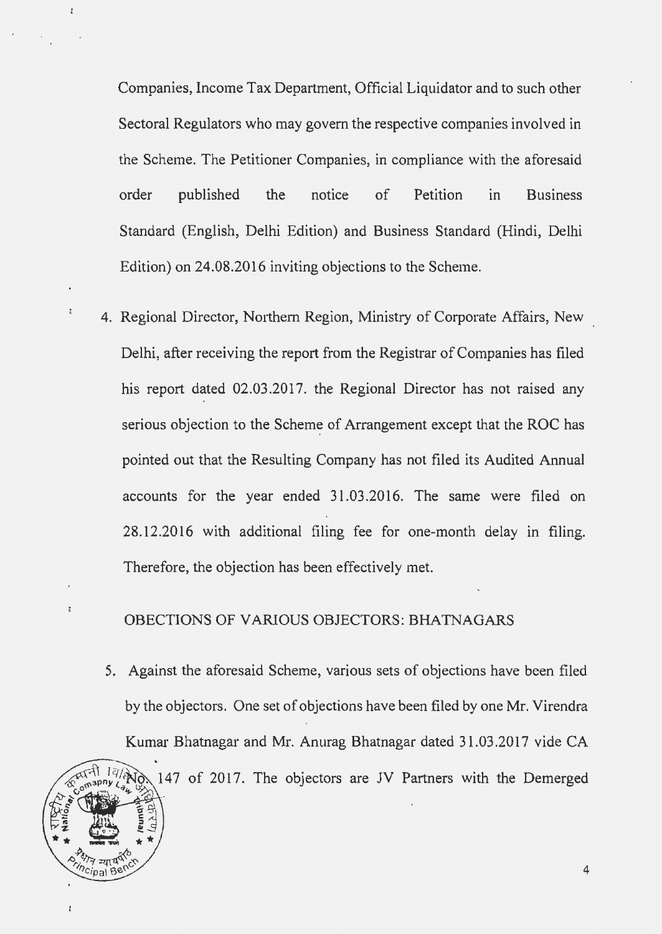Companies, Income Tax Department, Official Liquidator and to such other Sectoral Regulators who may govern the respective companies involved in the Scheme. The Petitioner Companies, in compliance with the aforesaid order published the notice of Petition in Business Standard (English, Delhi Edition) and Business Standard (Hindi, Delhi Edition) on 24.08.2016 inviting objections to the Scheme.

4. Regional Director, Northern Region, Ministry of Corporate Affairs, New Delhi, after receiving the report from the Registrar of Companies has filed his report dated 02.03.2017. the Regional Director has not raised any serious objection to the Scheme of Arrangement except that the ROC has pointed out that the Resulting Company has not filed its Audited Annual accounts for the year ended 31.03.2016. The same were filed on 28.12.2016 with additional filing fee for one-month delay in filing. Therefore, the objection has been effectively met.

å

å

cipal Bes

# OBECTIONS OF VARIOUS OBJECTORS: BHATNAGARS

5. Against the aforesaid Scheme, various sets of objections have been filed by the objectors. One set of objections have been filed by one Mr. Virendra Kumar Bhatnagar and Mr. Anurag Bhatnagar dated 31.03.2017 vide CA  $\frac{1}{4}$   $\sqrt{8}$  2017. The objectors are JV Partners with the Demerged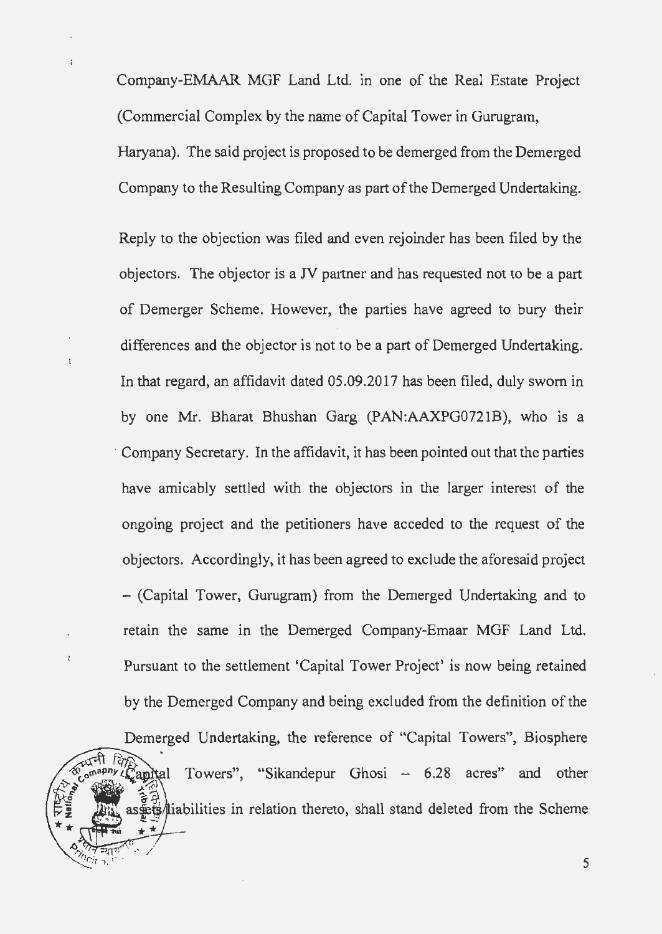Company-EMAAR MGF Land Ltd. in one of the Real Estate Project (Commercial Complex by the name of Capital Tower in Gurugram, Haryana). The said project is proposed to be demerged from the Demerged Company to the Resulting Company as part of the Demerged Undertaking.

Reply to the objection was filed and even rejoinder has been filed by the objectors. The objector is a JV partner and has requested not to be a part of Demerger Scheme. However, the parties have agreed to bury their differences and the objector is not to be a part of Demerged Undertaking. In that regard, an affidavit dated 05.09.2017 has been filed, duly sworn in by one Mr. Bharat Bhushan Garg (PAN:AAXPG0721B), who is a Company Secretary. In the affidavit, it has been pointed out that the parties have amicably settled with the objectors in the larger interest of the ongoing project and the petitioners have acceded to the request of the objectors. Accordingly, it has been agreed to exclude the aforesaid project - (Capital Tower, Gurugram) from the Demerged Undertaking and to retain the same in the Demerged Company-Emaar MGF Land Ltd. Pursuant to the settlement 'Capital Tower Project' is now being retained by the Demerged Company and being excluded from the definition of the

Demerged Undertaking, the reference of "Capital Towers", Biosphere Towers", "Sikandepur Ghosi - 6.28 acres" Capital and other ट्टेड्)<br>इंटर्ड/liabilities in relation thereto, shall stand deleted from the Scheme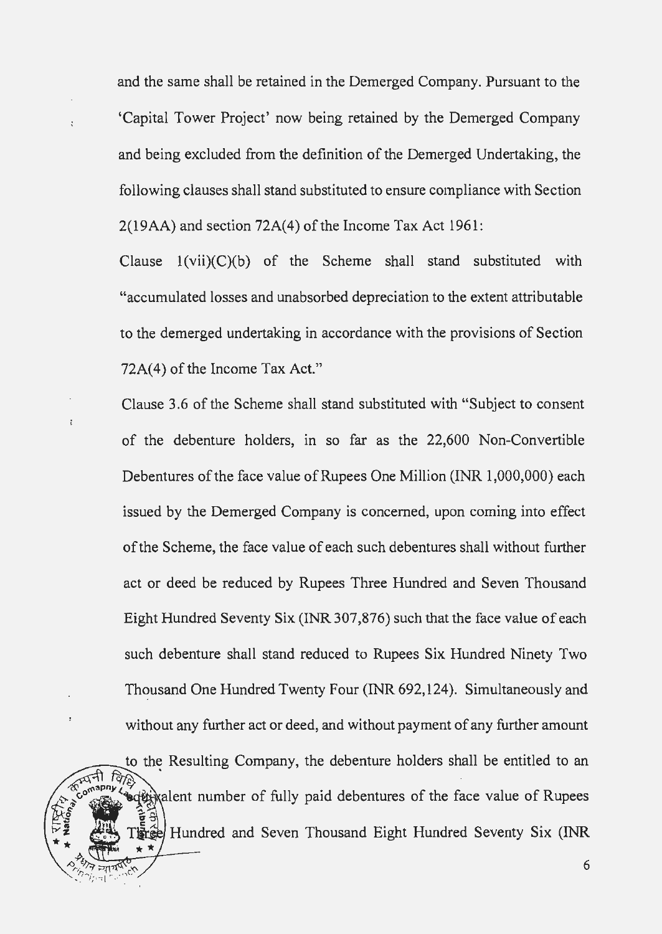and the same shall be retained in the Demerged Company. Pursuant to the 'Capital Tower Project' now being retained by the Demerged Company and being excluded from the definition of the Demerged Undertaking, the following clauses shall stand substituted to ensure compliance with Section  $2(19AA)$  and section  $72A(4)$  of the Income Tax Act 1961:

Clause  $1(vii)(C)(b)$  of the Scheme shall stand substituted with ''accumulated losses and unabsorbed depreciation to the extent attributable to the demerged undertaking in accordance with the provisions of Section 72A(4) of the Income Tax Act."

Clause 3.6 of the Scheme shall stand substituted with "Subject to consent of the debenture holders, in so far as the 22,600 Non-Convertible Debentures of the face value of Rupees One Million (INR 1,000,000) each issued by the Demerged Company is concerned, upon coming into effect of the Scheme, the face value of each such debentures shall without further act or deed be reduced by Rupees Three Hundred and Seven Thousand Eight Hundred Seventy Six (INR 307,876) such that the face value of each such debenture shall stand reduced to Rupees Six Hundred Ninety Two Thousand One Hundred Twenty Four (INR 692,124). Simultaneously and without any further act or deed, and without payment of any further amount

to the Resulting Company, the debenture holders shall be entitled to an ediminatent number of fully paid debentures of the face value of Rupees Hundred and Seven Thousand Eight Hundred Seventy Six (INR  $\star$ 

 $\gamma_{5}$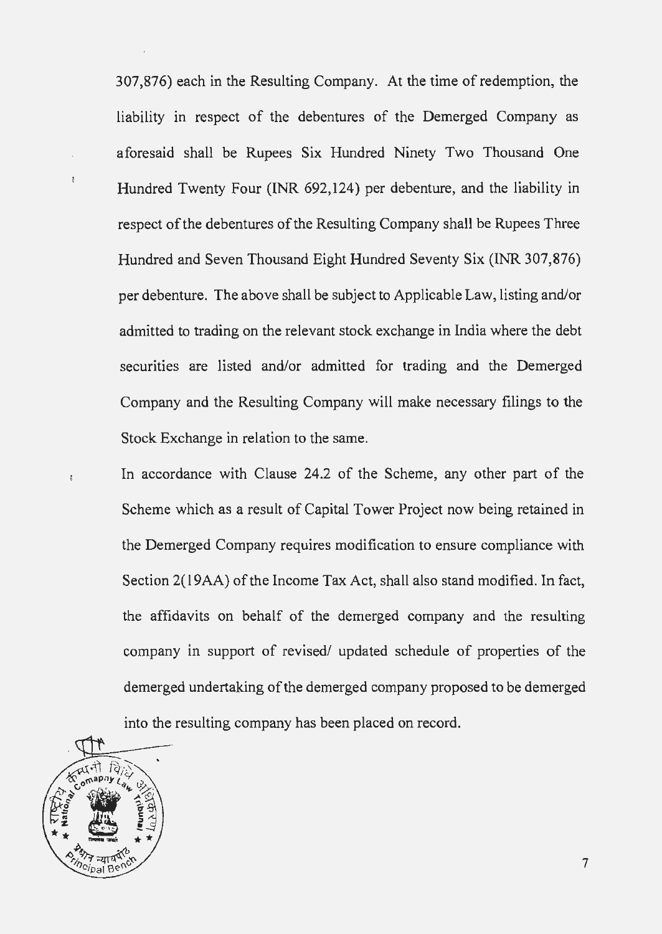307,876) each in the Resulting Company. At the time of redemption, the liability in respect of the debentures of the Demerged Company as aforesaid shall be Rupees Six Hundred Ninety Two Thousand One Hundred Twenty Four (INR 692,124) per debenture, and the liability in respect of the debentures of the Resulting Company shall be Rupees Three Hundred and Seven Thousand Eight Hundred Seventy Six (INR 307,876) per debenture. The above shall be subject to Applicable Law, listing and/or admitted to trading on the relevant stock exchange in India where the debt securities are listed and/or admitted for trading and the Demerged Company and the Resulting Company will make necessary filings to the Stock Exchange in relation to the same.

In accordance with Clause 24.2 of the Scheme, any other part of the Scheme which as a result of Capital Tower Project now being retained in the Demerged Company requires modification to ensure compliance with Section 2(19AA) of the Income Tax Act, shall also stand modified. In fact, the affidavits on behalf of the demerged company and the resulting company in support of revised/ updated schedule of properties of the demerged undertaking of the demerged company proposed to be demerged into the resulting company has been placed on record.



 $\ddot{\cdot}$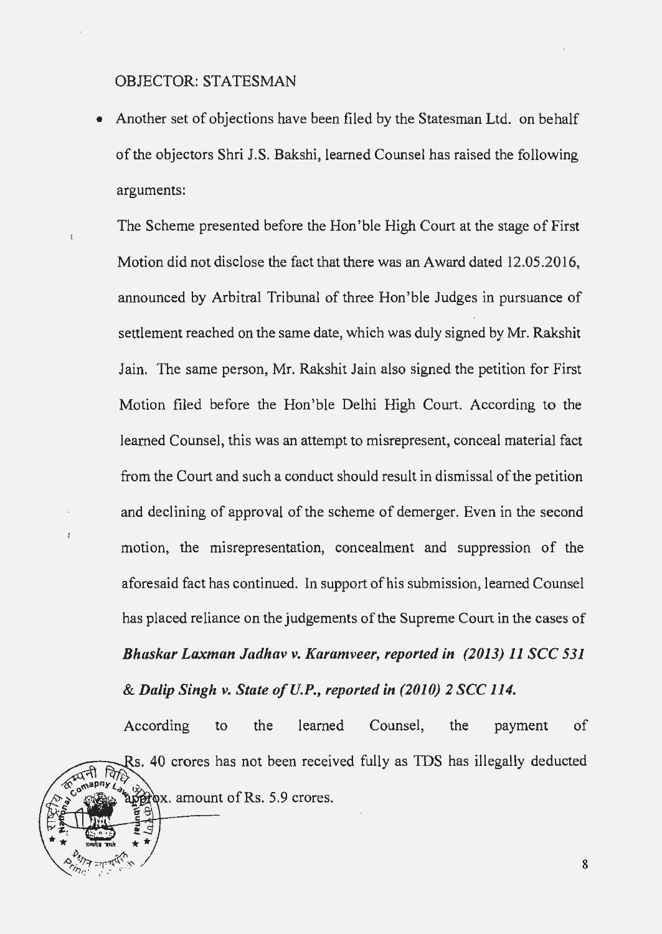OBJECTOR: STATESMAN

• Another set of objections have been filed by the Statesman Ltd. on behalf of the objectors Shri J.S. Bakshi, learned Counsel has raised the following arguments:

The Scheme presented before the Hon'ble High Court at the stage of First Motion did not disclose the fact that there was an Award dated 12.05.2016, announced by Arbitral Tribunal of three Hon'ble Judges in pursuance of settlement reached on the same date, which was duly signed by Mr. Rakshit Jain. The same person, Mr. Rakshit Jain also signed the petition for First Motion filed before the Hon'ble Delhi High Court. According to the learned Counsel, this was an attempt to misrepresent, conceal material fact from the Court and such a conduct should result in dismissal of the petition and declining of approval of the scheme of demerger. Even in the second motion, the misrepresentation, concealment and suppression of the aforesaid fact has continued. In support of his submission, learned Counsel has placed reliance on the judgements of the Supreme Court in the cases of **Bhaskar Laxman Jadhav v. Karamveer, reported in (2013) 11 SCC 531** & *Dalip Singh v. State ofU.P., reported in (2010) 2 sec 114.* 

According to the learned Counsel, the payment of 40 crores has not been received fully as IDS has illegally deducted Γò.  $\frac{1}{200}$   $\chi$ , amount of Rs. 5.9 crores.

8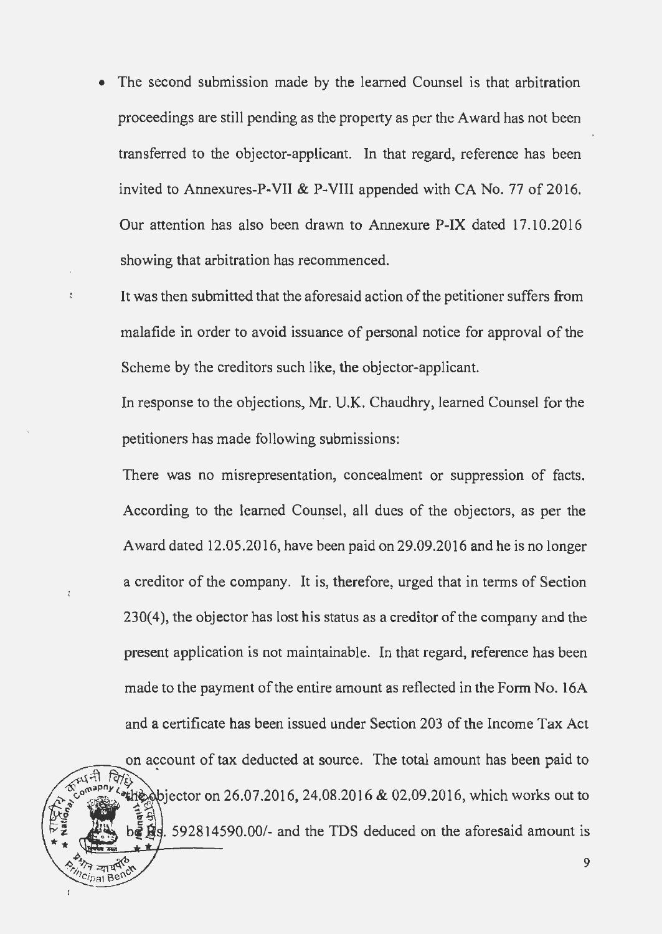- The second submission made by the learned Counsel is that arbitration proceedings are still pending as the property as per the Award has not been transferred to the objector-applicant. In that regard, reference has been invited to Annexures-P-VII & P-VIII appended with CA No. 77 of 2016. Our attention has also been drawn to Annexure P-IX dated 17.10.2016 showing that arbitration has recommenced.
	- It was then submitted that the aforesaid action of the petitioner suffers from malafide in order to avoid issuance of personal notice for approval of the Scheme by the creditors such like, the objector-applicant.

In response to the objections, Mr. U.K. Chaudhry, learned Counsel for the petitioners has made following submissions:

There was no misrepresentation, concealment or suppression of facts. According to the learned Counsel, all dues of the objectors, as per the Award dated 12.05.2016, have been paid on 29.09.2016 and he is no longer a creditor of the company. It is, therefore, urged that in terms of Section 230(4), the objector has lost his status as a creditor of the company and the present application is not maintainable. In that regard, reference has been made to the payment of the entire amount as reflected in the Form No. 16A and a certificate has been issued under Section 203 of the Income Tax Act

on account of tax deducted at source. The total amount has been paid to the objector on 26.07.2016, 24.08.2016 & 02.09.2016, which works out to  $\frac{1}{2}$   $\frac{1}{2}$ , 592814590.00/- and the TDS deduced on the aforesaid amount is

 $c_{\text{total}}$  Be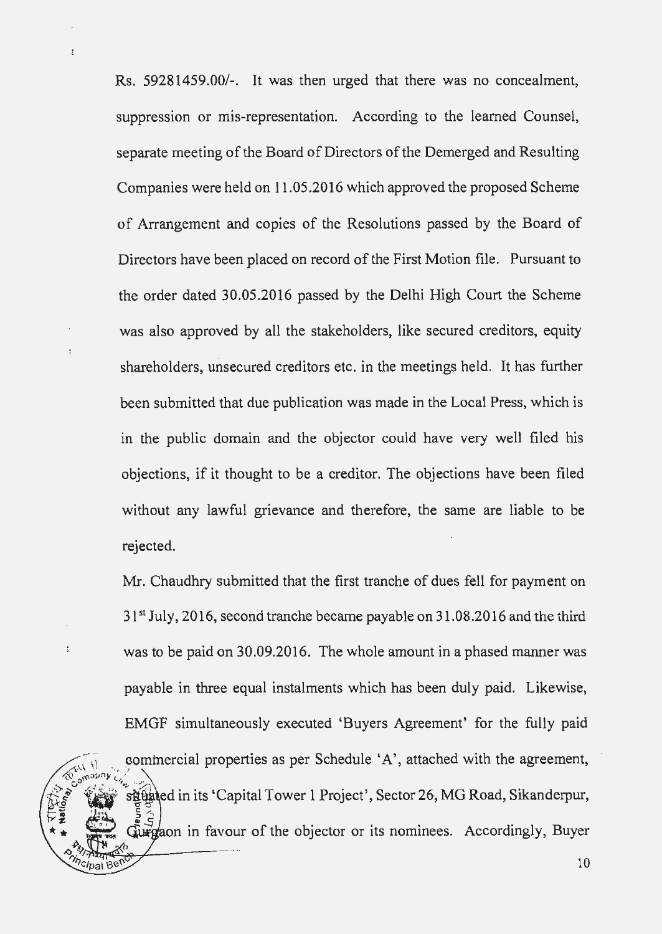Rs. 59281459.00/-. It was then urged that there was no concealment, suppression or mis-representation. According to the learned Counsel, separate meeting of the Board of Directors of the Demerged and Resulting Companies were held on 11.05.2016 which approved the proposed Scheme of Arrangement and copies of the Resolutions passed by the Board of Directors have been placed on record of the First Motion file. Pursuant to the order dated 30.05.2016 passed by the Delhi High Court the Scheme was also approved by all the stakeholders, like secured creditors, equity shareholders, unsecured creditors etc. in the meetings held. It has further been submitted that due publication was made in the Local Press, which is in the public domain and the objector could have very well filed his objections, if it thought to be a creditor. The objections have been filed without any lawful grievance and therefore, the same are liable to be rejected.

Mr. Chaudhry submitted that the first tranche of dues fell for payment on 31<sup>st</sup> July, 2016, second tranche became payable on 31.08.2016 and the third was to be paid on 30.09.2016. The whole amount in a phased manner was payable in three equal instalments which has been duly paid. Likewise, EMGF simultaneously executed 'Buyers Agreement' for the fully paid commercial properties as per Schedule 'A', attached with the agreement, sittated in its 'Capital Tower 1 Project', Sector 26, MG Road, Sikanderpur, with the objector or its nomines. Accordingly, Buyer

 $\dot{t}$ 

 $\sqrt{11}$ 

 $c$ ipal Be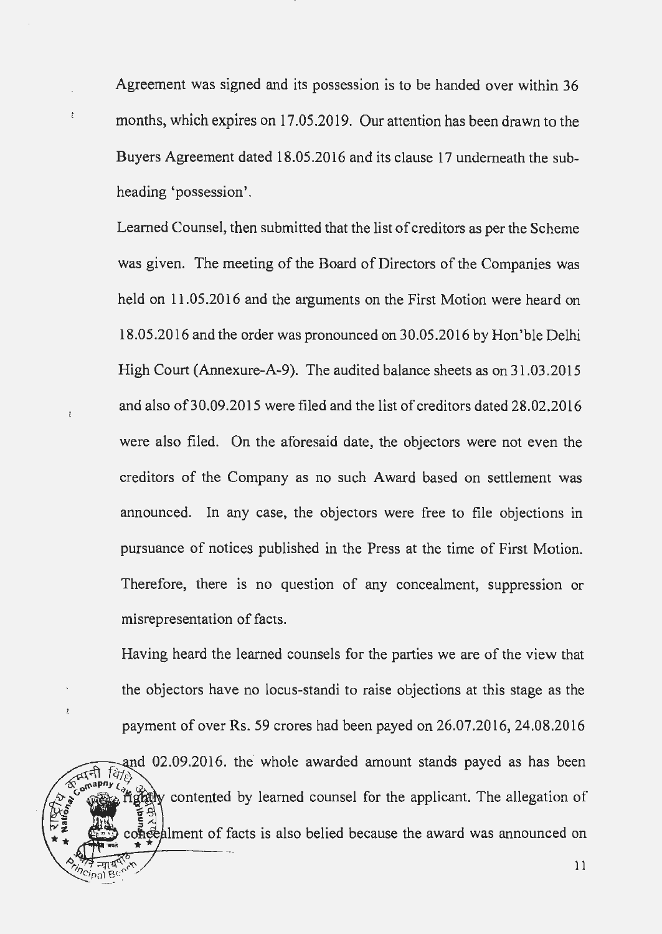Agreement was signed and its possession is to be handed over within 36 months, which expires on 17.05.2019. Our attention has been drawn to the Buyers Agreement dated 18.05.2016 and its clause 17 underneath the subheading 'possession'.

ŧ

Learned Counsel, then submitted that the list of creditors as per the Scheme was given. The meeting of the Board of Directors of the Companies was held on 11.05.2016 and the arguments on the First Motion were heard on 18.05.2016 and the order was pronounced on 30.05.2016 by Hon'ble Delhi High Court (Annexure-A-9). The audited balance sheets as on 31.03.2015 and also of30.09.2015 were filed and the list of creditors dated 28.02.2016 were also filed. On the aforesaid date, the objectors were not even the creditors of the Company as no such Award based on settlement was announced. In any case, the objectors were free to file objections in pursuance of notices published in the Press at the time of First Motion. Therefore, there is no question of any concealment, suppression or misrepresentation of facts.

Having heard the learned counsels for the parties we are of the view that the objectors have no locus-standi to raise objections at this stage as the payment of over Rs. 59 crores had been payed on 26.07.2016, 24.08.2016

and 02.09.2016. the whole awarded amount stands payed as has been rightly contented by learned counsel for the applicant. The allegation of concepted contracts contained because the award was announced on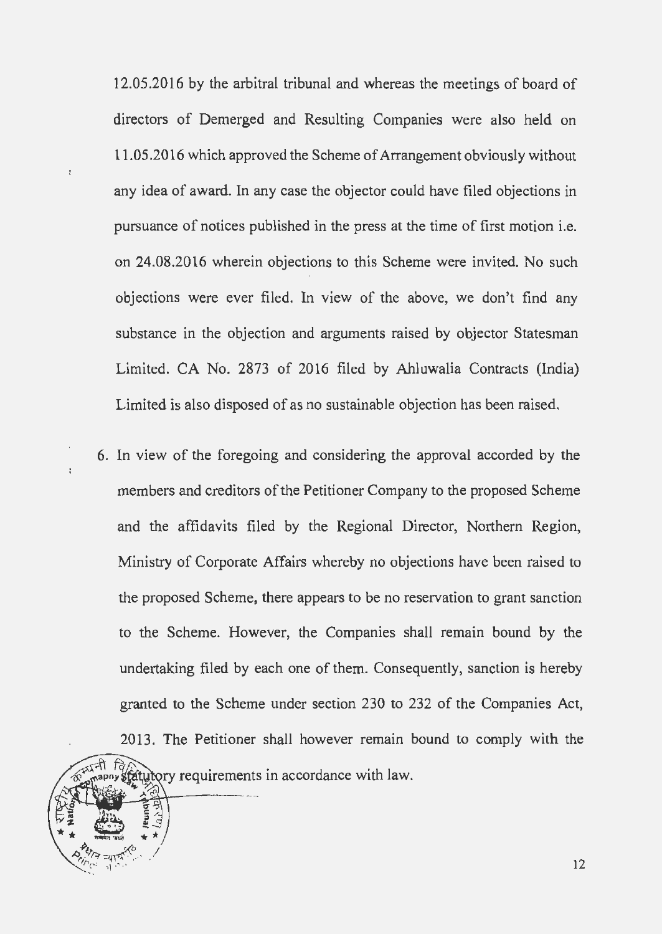12.05.2016 by the arbitral tribunal and whereas the meetings of board of directors of Demerged and Resulting Companies were also held on 11.05.2016 which approved the Scheme of Arrangement obviously without any idea of award. In any case the objector could have filed objections in pursuance of notices published in the press at the time of first motion i.e. on 24.08.2016 wherein objections to this Scheme were invited. No such objections were ever filed. In view of the above, we don't find any substance in the objection and arguments raised by objector Statesman Limited. CA No. 2873 of 2016 filed by Ahluwalia Contracts (India) Limited is also disposed of as no sustainable objection has been raised.

 $\frac{1}{\zeta}$ 

 $\overline{\epsilon}$ 

6. In view of the foregoing and considering the approval accorded by the members and creditors of the Petitioner Company to the proposed Scheme and the affidavits filed by the Regional Director, Northern Region, Ministry of Corporate Affairs whereby no objections have been raised to the proposed Scheme, there appears to be no reservation to grant sanction to the Scheme. However, the Companies shall remain bound by the undertaking filed by each one of them. Consequently, sanction is hereby granted to the Scheme under section 230 to 232 of the Companies Act, 2013. The Petitioner shall however remain bound to comply with the

fatutory requirements in accordance with law.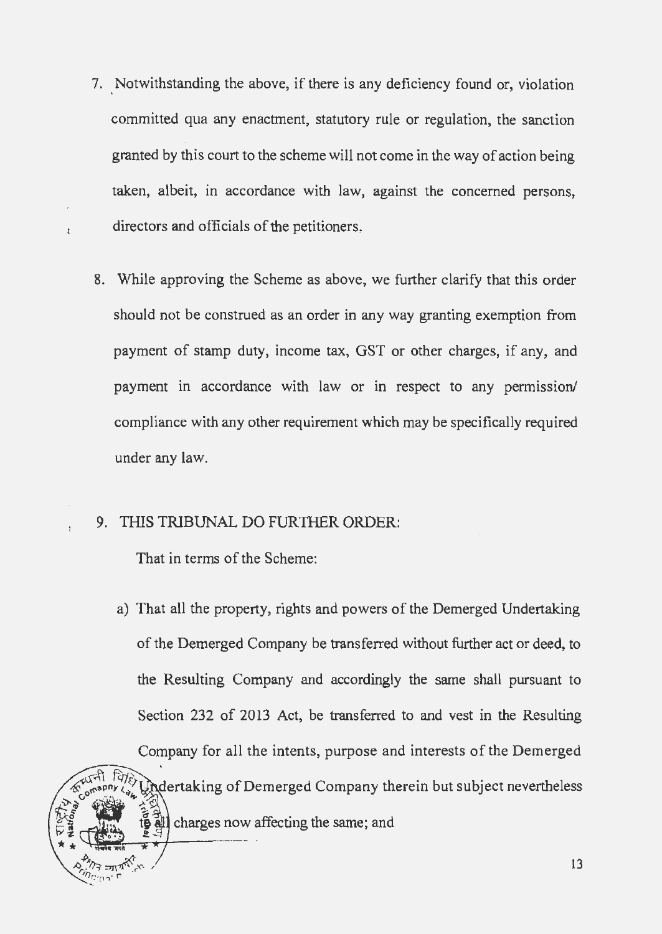- 7. Notwithstanding the above, if there is any deficiency found or, violation committed qua any enactment, statutory rule or regulation, the sanction granted by this court to the scheme will not come in the way of action being taken, albeit, in accordance with law, against the concerned persons, directors and officials of the petitioners.
- 8. While approving the Scheme as above, we further clarify that this order should not be construed as an order in any way granting exemption from payment of stamp duty, income tax, GST or other charges, if any, and payment in accordance with law or in respect to any permission/ compliance with any other requirement which may be specifically required under any law.

# 9. THIS TRIBUNAL DO FURTHER ORDER:

That in terms of the Scheme:

a) That all the property, rights and powers of the Demerged Undertaking of the Demerged Company be transferred without further act or deed, to the Resulting Company and accordingly the same shall pursuant to Section 232 of 2013 Act, be transferred to and vest in the Resulting Company for all the intents, purpose and interests of the Demerged Undertaking of Demerged Company therein but subject nevertheless charges now affecting the same; and